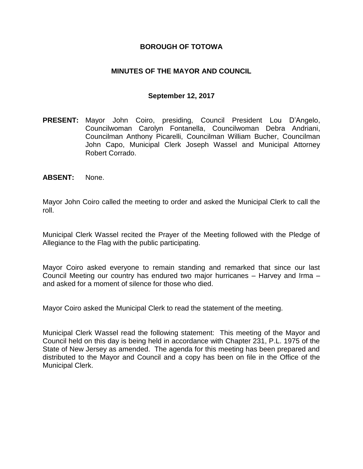#### **BOROUGH OF TOTOWA**

#### **MINUTES OF THE MAYOR AND COUNCIL**

#### **September 12, 2017**

- **PRESENT:** Mayor John Coiro, presiding, Council President Lou D'Angelo, Councilwoman Carolyn Fontanella, Councilwoman Debra Andriani, Councilman Anthony Picarelli, Councilman William Bucher, Councilman John Capo, Municipal Clerk Joseph Wassel and Municipal Attorney Robert Corrado.
- **ABSENT:** None.

Mayor John Coiro called the meeting to order and asked the Municipal Clerk to call the roll.

Municipal Clerk Wassel recited the Prayer of the Meeting followed with the Pledge of Allegiance to the Flag with the public participating.

Mayor Coiro asked everyone to remain standing and remarked that since our last Council Meeting our country has endured two major hurricanes – Harvey and Irma – and asked for a moment of silence for those who died.

Mayor Coiro asked the Municipal Clerk to read the statement of the meeting.

Municipal Clerk Wassel read the following statement: This meeting of the Mayor and Council held on this day is being held in accordance with Chapter 231, P.L. 1975 of the State of New Jersey as amended. The agenda for this meeting has been prepared and distributed to the Mayor and Council and a copy has been on file in the Office of the Municipal Clerk.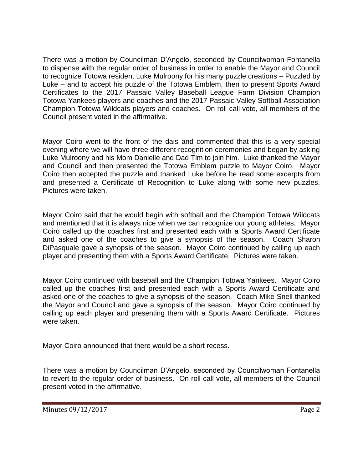There was a motion by Councilman D'Angelo, seconded by Councilwoman Fontanella to dispense with the regular order of business in order to enable the Mayor and Council to recognize Totowa resident Luke Mulroony for his many puzzle creations – Puzzled by Luke – and to accept his puzzle of the Totowa Emblem, then to present Sports Award Certificates to the 2017 Passaic Valley Baseball League Farm Division Champion Totowa Yankees players and coaches and the 2017 Passaic Valley Softball Association Champion Totowa Wildcats players and coaches. On roll call vote, all members of the Council present voted in the affirmative.

Mayor Coiro went to the front of the dais and commented that this is a very special evening where we will have three different recognition ceremonies and began by asking Luke Mulroony and his Mom Danielle and Dad Tim to join him. Luke thanked the Mayor and Council and then presented the Totowa Emblem puzzle to Mayor Coiro. Mayor Coiro then accepted the puzzle and thanked Luke before he read some excerpts from and presented a Certificate of Recognition to Luke along with some new puzzles. Pictures were taken.

Mayor Coiro said that he would begin with softball and the Champion Totowa Wildcats and mentioned that it is always nice when we can recognize our young athletes. Mayor Coiro called up the coaches first and presented each with a Sports Award Certificate and asked one of the coaches to give a synopsis of the season. Coach Sharon DiPasquale gave a synopsis of the season. Mayor Coiro continued by calling up each player and presenting them with a Sports Award Certificate. Pictures were taken.

Mayor Coiro continued with baseball and the Champion Totowa Yankees. Mayor Coiro called up the coaches first and presented each with a Sports Award Certificate and asked one of the coaches to give a synopsis of the season. Coach Mike Snell thanked the Mayor and Council and gave a synopsis of the season. Mayor Coiro continued by calling up each player and presenting them with a Sports Award Certificate. Pictures were taken.

Mayor Coiro announced that there would be a short recess.

There was a motion by Councilman D'Angelo, seconded by Councilwoman Fontanella to revert to the regular order of business. On roll call vote, all members of the Council present voted in the affirmative.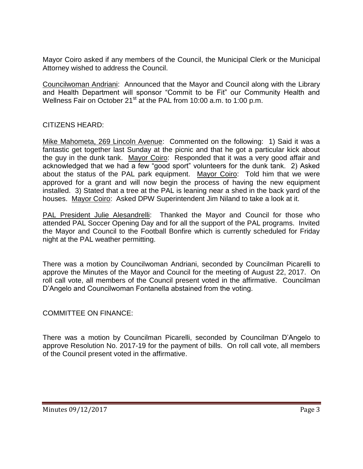Mayor Coiro asked if any members of the Council, the Municipal Clerk or the Municipal Attorney wished to address the Council.

Councilwoman Andriani: Announced that the Mayor and Council along with the Library and Health Department will sponsor "Commit to be Fit" our Community Health and Wellness Fair on October 21<sup>st</sup> at the PAL from 10:00 a.m. to 1:00 p.m.

CITIZENS HEARD:

Mike Mahometa, 269 Lincoln Avenue: Commented on the following: 1) Said it was a fantastic get together last Sunday at the picnic and that he got a particular kick about the guy in the dunk tank. Mayor Coiro: Responded that it was a very good affair and acknowledged that we had a few "good sport" volunteers for the dunk tank. 2) Asked about the status of the PAL park equipment. Mayor Coiro: Told him that we were approved for a grant and will now begin the process of having the new equipment installed. 3) Stated that a tree at the PAL is leaning near a shed in the back yard of the houses. Mayor Coiro: Asked DPW Superintendent Jim Niland to take a look at it.

PAL President Julie Alesandrelli: Thanked the Mayor and Council for those who attended PAL Soccer Opening Day and for all the support of the PAL programs. Invited the Mayor and Council to the Football Bonfire which is currently scheduled for Friday night at the PAL weather permitting.

There was a motion by Councilwoman Andriani, seconded by Councilman Picarelli to approve the Minutes of the Mayor and Council for the meeting of August 22, 2017. On roll call vote, all members of the Council present voted in the affirmative. Councilman D'Angelo and Councilwoman Fontanella abstained from the voting.

## COMMITTEE ON FINANCE:

There was a motion by Councilman Picarelli, seconded by Councilman D'Angelo to approve Resolution No. 2017-19 for the payment of bills. On roll call vote, all members of the Council present voted in the affirmative.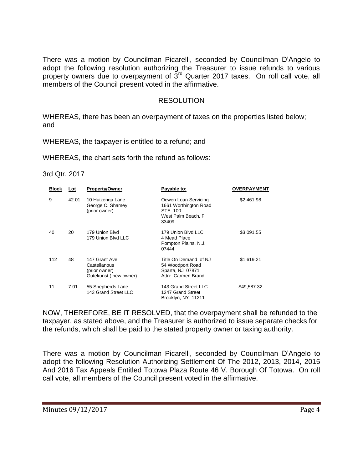There was a motion by Councilman Picarelli, seconded by Councilman D'Angelo to adopt the following resolution authorizing the Treasurer to issue refunds to various property owners due to overpayment of  $3<sup>rd</sup>$  Quarter 2017 taxes. On roll call vote, all members of the Council present voted in the affirmative.

#### RESOLUTION

WHEREAS, there has been an overpayment of taxes on the properties listed below; and

WHEREAS, the taxpayer is entitled to a refund; and

WHEREAS, the chart sets forth the refund as follows:

#### 3rd Qtr. 2017

| <b>Block</b> | Lot   | <b>Property/Owner</b>                                                    | Payable to:                                                                              | <b>OVERPAYMENT</b> |
|--------------|-------|--------------------------------------------------------------------------|------------------------------------------------------------------------------------------|--------------------|
| 9            | 42.01 | 10 Huizenga Lane<br>George C. Shamey<br>(prior owner)                    | Ocwen Loan Servicing<br>1661 Worthington Road<br>STE 100<br>West Palm Beach, Fl<br>33409 | \$2,461.98         |
| 40           | 20    | 179 Union Blvd<br>179 Union Blvd LLC                                     | 179 Union Blvd LLC<br>4 Mead Place<br>Pompton Plains, N.J.<br>07444                      | \$3,091.55         |
| 112          | 48    | 147 Grant Ave.<br>Castellanous<br>(prior owner)<br>Gutekunst (new owner) | Title On Demand of NJ<br>54 Woodport Road<br>Sparta, NJ 07871<br>Attn: Carmen Brand      | \$1,619.21         |
| 11           | 7.01  | 55 Shepherds Lane<br>143 Grand Street LLC                                | 143 Grand Street LLC<br>1247 Grand Street<br>Brooklyn, NY 11211                          | \$49,587.32        |

NOW, THEREFORE, BE IT RESOLVED, that the overpayment shall be refunded to the taxpayer, as stated above, and the Treasurer is authorized to issue separate checks for the refunds, which shall be paid to the stated property owner or taxing authority.

There was a motion by Councilman Picarelli, seconded by Councilman D'Angelo to adopt the following Resolution Authorizing Settlement Of The 2012, 2013, 2014, 2015 And 2016 Tax Appeals Entitled Totowa Plaza Route 46 V. Borough Of Totowa. On roll call vote, all members of the Council present voted in the affirmative.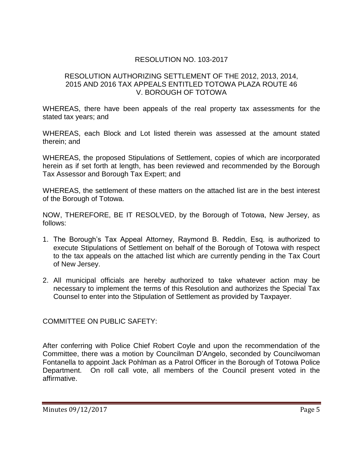# RESOLUTION NO. 103-2017

#### RESOLUTION AUTHORIZING SETTLEMENT OF THE 2012, 2013, 2014, 2015 AND 2016 TAX APPEALS ENTITLED TOTOWA PLAZA ROUTE 46 V. BOROUGH OF TOTOWA

WHEREAS, there have been appeals of the real property tax assessments for the stated tax years; and

WHEREAS, each Block and Lot listed therein was assessed at the amount stated therein; and

WHEREAS, the proposed Stipulations of Settlement, copies of which are incorporated herein as if set forth at length, has been reviewed and recommended by the Borough Tax Assessor and Borough Tax Expert; and

WHEREAS, the settlement of these matters on the attached list are in the best interest of the Borough of Totowa.

NOW, THEREFORE, BE IT RESOLVED, by the Borough of Totowa, New Jersey, as follows:

- 1. The Borough's Tax Appeal Attorney, Raymond B. Reddin, Esq. is authorized to execute Stipulations of Settlement on behalf of the Borough of Totowa with respect to the tax appeals on the attached list which are currently pending in the Tax Court of New Jersey.
- 2. All municipal officials are hereby authorized to take whatever action may be necessary to implement the terms of this Resolution and authorizes the Special Tax Counsel to enter into the Stipulation of Settlement as provided by Taxpayer.

COMMITTEE ON PUBLIC SAFETY:

After conferring with Police Chief Robert Coyle and upon the recommendation of the Committee, there was a motion by Councilman D'Angelo, seconded by Councilwoman Fontanella to appoint Jack Pohlman as a Patrol Officer in the Borough of Totowa Police Department. On roll call vote, all members of the Council present voted in the affirmative.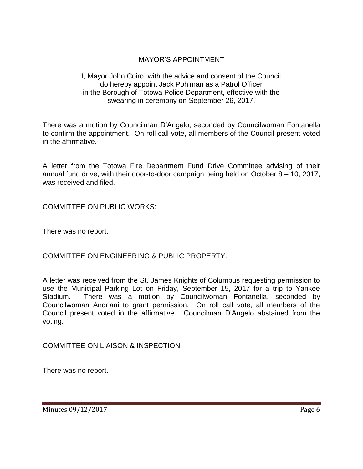# MAYOR'S APPOINTMENT

#### I, Mayor John Coiro, with the advice and consent of the Council do hereby appoint Jack Pohlman as a Patrol Officer in the Borough of Totowa Police Department, effective with the swearing in ceremony on September 26, 2017.

There was a motion by Councilman D'Angelo, seconded by Councilwoman Fontanella to confirm the appointment. On roll call vote, all members of the Council present voted in the affirmative.

A letter from the Totowa Fire Department Fund Drive Committee advising of their annual fund drive, with their door-to-door campaign being held on October 8 – 10, 2017, was received and filed.

COMMITTEE ON PUBLIC WORKS:

There was no report.

COMMITTEE ON ENGINEERING & PUBLIC PROPERTY:

A letter was received from the St. James Knights of Columbus requesting permission to use the Municipal Parking Lot on Friday, September 15, 2017 for a trip to Yankee Stadium. There was a motion by Councilwoman Fontanella, seconded by Councilwoman Andriani to grant permission. On roll call vote, all members of the Council present voted in the affirmative. Councilman D'Angelo abstained from the voting.

COMMITTEE ON LIAISON & INSPECTION:

There was no report.

Minutes 09/12/2017 Page 6